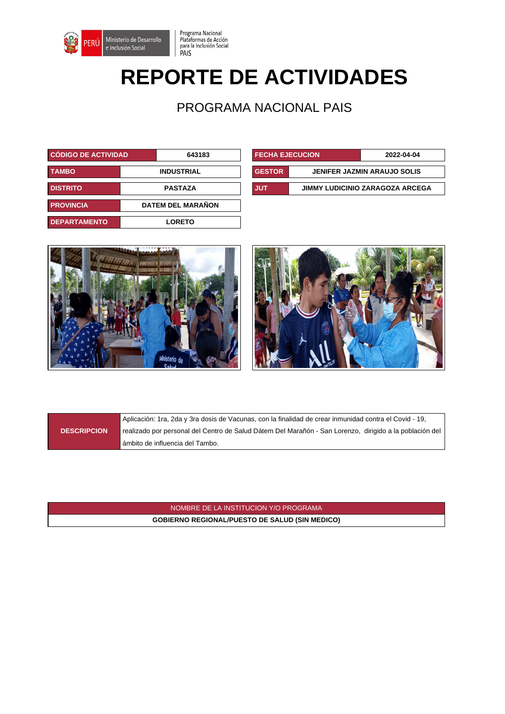

## **REPORTE DE ACTIVIDADES**

Programa Nacional<br>Plataformas de Acción<br>para la Inclusión Social

PAIS

PROGRAMA NACIONAL PAIS

| <b>CÓDIGO DE ACTIVIDAD</b> |  | 643183                   |            | <b>FECHA EJECUCION</b> |                                    | 2022-04-04                             |
|----------------------------|--|--------------------------|------------|------------------------|------------------------------------|----------------------------------------|
| <b>TAMBO</b>               |  | <b>INDUSTRIAL</b>        |            | <b>GESTOR</b>          | <b>JENIFER JAZMIN ARAUJO SOLIS</b> |                                        |
| <b>DISTRITO</b>            |  | <b>PASTAZA</b>           | <b>JUT</b> |                        |                                    | <b>JIMMY LUDICINIO ZARAGOZA ARCEGA</b> |
| <b>PROVINCIA</b>           |  | <b>DATEM DEL MARAÑON</b> |            |                        |                                    |                                        |
| <b>DEPARTAMENTO</b>        |  | <b>LORETO</b>            |            |                        |                                    |                                        |

| <b>FECHA EJECUCION</b>                 |                                    | 2022-04-04 |  |
|----------------------------------------|------------------------------------|------------|--|
| <b>GESTOR</b>                          | <b>JENIFER JAZMIN ARAUJO SOLIS</b> |            |  |
| JUT<br>JIMMY LUDICINIO ZARAGOZA ARCEGA |                                    |            |  |





**DESCRIPCION**

Aplicación: 1ra, 2da y 3ra dosis de Vacunas, con la finalidad de crear inmunidad contra el Covid - 19, realizado por personal del Centro de Salud Dátem Del Marañón - San Lorenzo, dirigido a la población del ámbito de influencia del Tambo.

NOMBRE DE LA INSTITUCION Y/O PROGRAMA **GOBIERNO REGIONAL/PUESTO DE SALUD (SIN MEDICO)**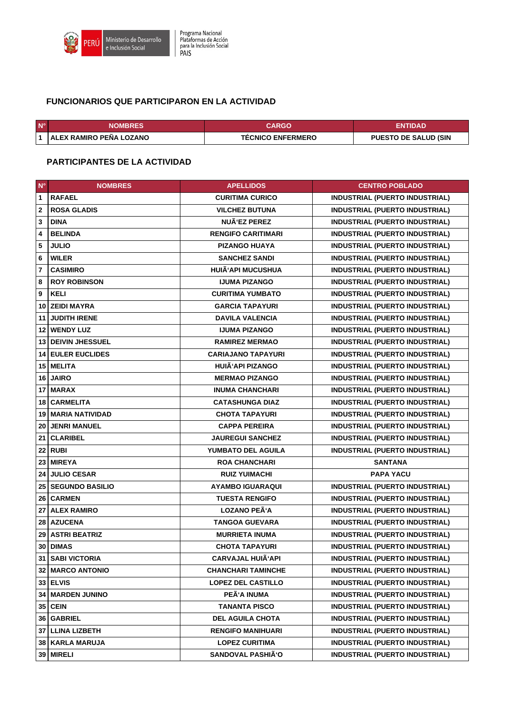

## **FUNCIONARIOS QUE PARTICIPARON EN LA ACTIVIDAD**

| $N^{\circ}$ | <b>NOMBRES</b>            | CARGO                    | ENTIDAD                     |
|-------------|---------------------------|--------------------------|-----------------------------|
|             | ∣ALEX RAMIRO PEÑA LOZANO∣ | <b>TECNICO ENFERMERO</b> | <b>PUESTO DE SALUD (SIN</b> |

## **PARTICIPANTES DE LA ACTIVIDAD**

| $N^{\circ}$             | <b>NOMBRES</b>            | <b>APELLIDOS</b>          | <b>CENTRO POBLADO</b>                 |
|-------------------------|---------------------------|---------------------------|---------------------------------------|
| $\mathbf{1}$            | <b>RAFAEL</b>             | <b>CURITIMA CURICO</b>    | <b>INDUSTRIAL (PUERTO INDUSTRIAL)</b> |
| $\overline{\mathbf{2}}$ | <b>ROSA GLADIS</b>        | <b>VILCHEZ BUTUNA</b>     | <b>INDUSTRIAL (PUERTO INDUSTRIAL)</b> |
| 3                       | <b>DINA</b>               | NUÃ'EZ PEREZ              | <b>INDUSTRIAL (PUERTO INDUSTRIAL)</b> |
| 4                       | <b>BELINDA</b>            | <b>RENGIFO CARITIMARI</b> | <b>INDUSTRIAL (PUERTO INDUSTRIAL)</b> |
| 5                       | <b>JULIO</b>              | <b>PIZANGO HUAYA</b>      | <b>INDUSTRIAL (PUERTO INDUSTRIAL)</b> |
| 6                       | <b>WILER</b>              | <b>SANCHEZ SANDI</b>      | <b>INDUSTRIAL (PUERTO INDUSTRIAL)</b> |
| $\overline{7}$          | <b>CASIMIRO</b>           | <b>HUIÃ'API MUCUSHUA</b>  | <b>INDUSTRIAL (PUERTO INDUSTRIAL)</b> |
| 8                       | <b>ROY ROBINSON</b>       | <b>IJUMA PIZANGO</b>      | <b>INDUSTRIAL (PUERTO INDUSTRIAL)</b> |
| 9                       | <b>KELI</b>               | <b>CURITIMA YUMBATO</b>   | <b>INDUSTRIAL (PUERTO INDUSTRIAL)</b> |
| 10                      | <b>ZEIDI MAYRA</b>        | <b>GARCIA TAPAYURI</b>    | <b>INDUSTRIAL (PUERTO INDUSTRIAL)</b> |
| 11                      | <b>JUDITH IRENE</b>       | <b>DAVILA VALENCIA</b>    | <b>INDUSTRIAL (PUERTO INDUSTRIAL)</b> |
| 12                      | <b>WENDY LUZ</b>          | <b>IJUMA PIZANGO</b>      | <b>INDUSTRIAL (PUERTO INDUSTRIAL)</b> |
|                         | <b>13 DEIVIN JHESSUEL</b> | <b>RAMIREZ MERMAO</b>     | <b>INDUSTRIAL (PUERTO INDUSTRIAL)</b> |
|                         | <b>14 EULER EUCLIDES</b>  | <b>CARIAJANO TAPAYURI</b> | <b>INDUSTRIAL (PUERTO INDUSTRIAL)</b> |
|                         | <b>15   MELITA</b>        | HUIÄ'API PIZANGO          | <b>INDUSTRIAL (PUERTO INDUSTRIAL)</b> |
|                         | 16 JAIRO                  | <b>MERMAO PIZANGO</b>     | <b>INDUSTRIAL (PUERTO INDUSTRIAL)</b> |
|                         | 17 MARAX                  | <b>INUMA CHANCHARI</b>    | <b>INDUSTRIAL (PUERTO INDUSTRIAL)</b> |
| 18                      | <b>CARMELITA</b>          | <b>CATASHUNGA DIAZ</b>    | <b>INDUSTRIAL (PUERTO INDUSTRIAL)</b> |
| 19                      | <b>MARIA NATIVIDAD</b>    | <b>CHOTA TAPAYURI</b>     | <b>INDUSTRIAL (PUERTO INDUSTRIAL)</b> |
| 20                      | <b>JENRI MANUEL</b>       | <b>CAPPA PEREIRA</b>      | <b>INDUSTRIAL (PUERTO INDUSTRIAL)</b> |
| 21                      | <b>CLARIBEL</b>           | <b>JAUREGUI SANCHEZ</b>   | <b>INDUSTRIAL (PUERTO INDUSTRIAL)</b> |
| 22                      | <b>RUBI</b>               | <b>YUMBATO DEL AGUILA</b> | <b>INDUSTRIAL (PUERTO INDUSTRIAL)</b> |
| 23                      | <b>MIREYA</b>             | <b>ROA CHANCHARI</b>      | <b>SANTANA</b>                        |
| 24                      | <b>JULIO CESAR</b>        | <b>RUIZ YUIMACHI</b>      | <b>PAPA YACU</b>                      |
| 25 <sub>1</sub>         | <b>SEGUNDO BASILIO</b>    | <b>AYAMBO IGUARAQUI</b>   | <b>INDUSTRIAL (PUERTO INDUSTRIAL)</b> |
| 26                      | <b>CARMEN</b>             | <b>TUESTA RENGIFO</b>     | <b>INDUSTRIAL (PUERTO INDUSTRIAL)</b> |
| 27                      | <b>ALEX RAMIRO</b>        | LOZANO PEÃ'A              | <b>INDUSTRIAL (PUERTO INDUSTRIAL)</b> |
|                         | 28 AZUCENA                | <b>TANGOA GUEVARA</b>     | <b>INDUSTRIAL (PUERTO INDUSTRIAL)</b> |
| 29                      | <b>ASTRI BEATRIZ</b>      | <b>MURRIETA INUMA</b>     | <b>INDUSTRIAL (PUERTO INDUSTRIAL)</b> |
| 30                      | <b>DIMAS</b>              | <b>CHOTA TAPAYURI</b>     | <b>INDUSTRIAL (PUERTO INDUSTRIAL)</b> |
|                         | 31 SABI VICTORIA          | <b>CARVAJAL HUIÃ'API</b>  | INDUSTRIAL (PUERTO INDUSTRIAL)        |
|                         | <b>32   MARCO ANTONIO</b> | <b>CHANCHARI TAMINCHE</b> | <b>INDUSTRIAL (PUERTO INDUSTRIAL)</b> |
|                         | 33 ELVIS                  | <b>LOPEZ DEL CASTILLO</b> | INDUSTRIAL (PUERTO INDUSTRIAL)        |
|                         | <b>34   MARDEN JUNINO</b> | <b>PEA'A INUMA</b>        | <b>INDUSTRIAL (PUERTO INDUSTRIAL)</b> |
|                         | 35 CEIN                   | <b>TANANTA PISCO</b>      | INDUSTRIAL (PUERTO INDUSTRIAL)        |
|                         | 36 GABRIEL                | <b>DEL AGUILA CHOTA</b>   | <b>INDUSTRIAL (PUERTO INDUSTRIAL)</b> |
|                         | 37   LLINA LIZBETH        | <b>RENGIFO MANIHUARI</b>  | <b>INDUSTRIAL (PUERTO INDUSTRIAL)</b> |
|                         | 38   KARLA MARUJA         | <b>LOPEZ CURITIMA</b>     | <b>INDUSTRIAL (PUERTO INDUSTRIAL)</b> |
|                         | 39 MIRELI                 | <b>SANDOVAL PASHIÃ'O</b>  | <b>INDUSTRIAL (PUERTO INDUSTRIAL)</b> |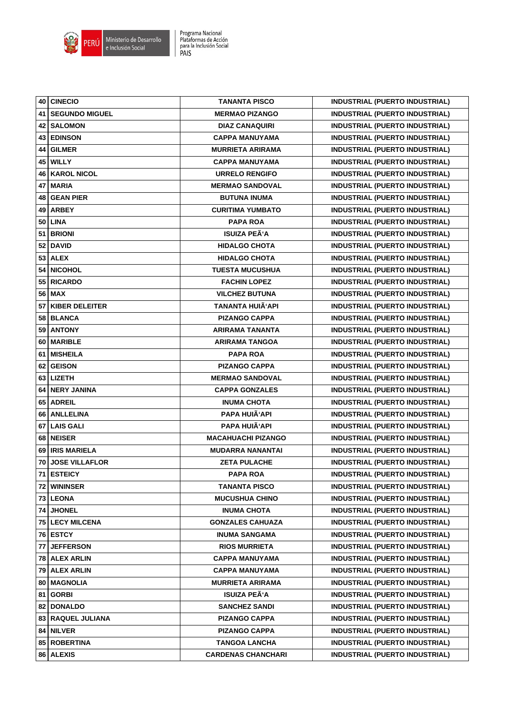

|      | 40 CINECIO            | <b>TANANTA PISCO</b>      | <b>INDUSTRIAL (PUERTO INDUSTRIAL)</b> |
|------|-----------------------|---------------------------|---------------------------------------|
| 41   | <b>SEGUNDO MIGUEL</b> | <b>MERMAO PIZANGO</b>     | <b>INDUSTRIAL (PUERTO INDUSTRIAL)</b> |
| 42   | <b>SALOMON</b>        | <b>DIAZ CANAQUIRI</b>     | <b>INDUSTRIAL (PUERTO INDUSTRIAL)</b> |
| 43   | <b>EDINSON</b>        | <b>CAPPA MANUYAMA</b>     | <b>INDUSTRIAL (PUERTO INDUSTRIAL)</b> |
| 44   | <b>GILMER</b>         | <b>MURRIETA ARIRAMA</b>   | <b>INDUSTRIAL (PUERTO INDUSTRIAL)</b> |
| 45   | <b>WILLY</b>          | <b>CAPPA MANUYAMA</b>     | <b>INDUSTRIAL (PUERTO INDUSTRIAL)</b> |
| 46   | <b>KAROL NICOL</b>    | URRELO RENGIFO            | <b>INDUSTRIAL (PUERTO INDUSTRIAL)</b> |
| 47   | <b>MARIA</b>          | <b>MERMAO SANDOVAL</b>    | <b>INDUSTRIAL (PUERTO INDUSTRIAL)</b> |
| 48   | <b>GEAN PIER</b>      | <b>BUTUNA INUMA</b>       | <b>INDUSTRIAL (PUERTO INDUSTRIAL)</b> |
| 49   | <b>ARBEY</b>          | <b>CURITIMA YUMBATO</b>   | <b>INDUSTRIAL (PUERTO INDUSTRIAL)</b> |
| 50   | <b>LINA</b>           | <b>PAPA ROA</b>           | <b>INDUSTRIAL (PUERTO INDUSTRIAL)</b> |
| 51   | <b>BRIONI</b>         | <b>ISUIZA PEÃ'A</b>       | <b>INDUSTRIAL (PUERTO INDUSTRIAL)</b> |
|      | 52 DAVID              | <b>HIDALGO CHOTA</b>      | <b>INDUSTRIAL (PUERTO INDUSTRIAL)</b> |
|      | $53$ ALEX             | <b>HIDALGO CHOTA</b>      | <b>INDUSTRIAL (PUERTO INDUSTRIAL)</b> |
| 54   | <b>NICOHOL</b>        | <b>TUESTA MUCUSHUA</b>    | <b>INDUSTRIAL (PUERTO INDUSTRIAL)</b> |
| 55   | <b>RICARDO</b>        | <b>FACHIN LOPEZ</b>       | <b>INDUSTRIAL (PUERTO INDUSTRIAL)</b> |
|      | 56   MAX              | <b>VILCHEZ BUTUNA</b>     | <b>INDUSTRIAL (PUERTO INDUSTRIAL)</b> |
| 57   | <b>KIBER DELEITER</b> | <b>TANANTA HUIÄ'API</b>   | <b>INDUSTRIAL (PUERTO INDUSTRIAL)</b> |
| 58 I | <b>BLANCA</b>         | <b>PIZANGO CAPPA</b>      | <b>INDUSTRIAL (PUERTO INDUSTRIAL)</b> |
|      | 59 ANTONY             | <b>ARIRAMA TANANTA</b>    | <b>INDUSTRIAL (PUERTO INDUSTRIAL)</b> |
| 60   | <b>MARIBLE</b>        | <b>ARIRAMA TANGOA</b>     | <b>INDUSTRIAL (PUERTO INDUSTRIAL)</b> |
| 61   | <b>MISHEILA</b>       | <b>PAPA ROA</b>           | <b>INDUSTRIAL (PUERTO INDUSTRIAL)</b> |
| 62   | <b>GEISON</b>         | <b>PIZANGO CAPPA</b>      | <b>INDUSTRIAL (PUERTO INDUSTRIAL)</b> |
| 63   | <b>LIZETH</b>         | <b>MERMAO SANDOVAL</b>    | <b>INDUSTRIAL (PUERTO INDUSTRIAL)</b> |
| 64   | <b>NERY JANINA</b>    | <b>CAPPA GONZALES</b>     | <b>INDUSTRIAL (PUERTO INDUSTRIAL)</b> |
| 65   | <b>ADREIL</b>         | <b>INUMA CHOTA</b>        | <b>INDUSTRIAL (PUERTO INDUSTRIAL)</b> |
| 66   | <b>ANLLELINA</b>      | PAPA HUIÃ'API             | <b>INDUSTRIAL (PUERTO INDUSTRIAL)</b> |
|      | 67 LAIS GALI          | PAPA HUIÃ'API             | <b>INDUSTRIAL (PUERTO INDUSTRIAL)</b> |
| 68   | <b>NEISER</b>         | <b>MACAHUACHI PIZANGO</b> | <b>INDUSTRIAL (PUERTO INDUSTRIAL)</b> |
| 69   | <b>IRIS MARIELA</b>   | <b>MUDARRA NANANTAI</b>   | <b>INDUSTRIAL (PUERTO INDUSTRIAL)</b> |
| 70   | <b>JOSE VILLAFLOR</b> | <b>ZETA PULACHE</b>       | <b>INDUSTRIAL (PUERTO INDUSTRIAL)</b> |
|      | 71   ESTEICY          | <b>PAPA ROA</b>           | <b>INDUSTRIAL (PUERTO INDUSTRIAL)</b> |
|      | 72 WININSER           | <b>TANANTA PISCO</b>      | <b>INDUSTRIAL (PUERTO INDUSTRIAL)</b> |
|      | 73 LEONA              | <b>MUCUSHUA CHINO</b>     | <b>INDUSTRIAL (PUERTO INDUSTRIAL)</b> |
| 74   | <b>JHONEL</b>         | <b>INUMA CHOTA</b>        | <b>INDUSTRIAL (PUERTO INDUSTRIAL)</b> |
|      | 75 LECY MILCENA       | <b>GONZALES CAHUAZA</b>   | <b>INDUSTRIAL (PUERTO INDUSTRIAL)</b> |
|      | 76 ESTCY              | <b>INUMA SANGAMA</b>      | <b>INDUSTRIAL (PUERTO INDUSTRIAL)</b> |
| 77   | <b>JEFFERSON</b>      | <b>RIOS MURRIETA</b>      | <b>INDUSTRIAL (PUERTO INDUSTRIAL)</b> |
|      | 78   ALEX ARLIN       | <b>CAPPA MANUYAMA</b>     | <b>INDUSTRIAL (PUERTO INDUSTRIAL)</b> |
| 79   | <b>ALEX ARLIN</b>     | <b>CAPPA MANUYAMA</b>     | <b>INDUSTRIAL (PUERTO INDUSTRIAL)</b> |
| 80   | MAGNOLIA              | <b>MURRIETA ARIRAMA</b>   | <b>INDUSTRIAL (PUERTO INDUSTRIAL)</b> |
| 81   | <b>GORBI</b>          | <b>ISUIZA PEÃ'A</b>       | INDUSTRIAL (PUERTO INDUSTRIAL)        |
| 82   | <b>DONALDO</b>        | <b>SANCHEZ SANDI</b>      | INDUSTRIAL (PUERTO INDUSTRIAL)        |
|      | 83 RAQUEL JULIANA     | <b>PIZANGO CAPPA</b>      | <b>INDUSTRIAL (PUERTO INDUSTRIAL)</b> |
|      | 84 NILVER             | <b>PIZANGO CAPPA</b>      | INDUSTRIAL (PUERTO INDUSTRIAL)        |
| 85   | <b>ROBERTINA</b>      | TANGOA LANCHA             | INDUSTRIAL (PUERTO INDUSTRIAL)        |
|      | 86 ALEXIS             | <b>CARDENAS CHANCHARI</b> | <b>INDUSTRIAL (PUERTO INDUSTRIAL)</b> |